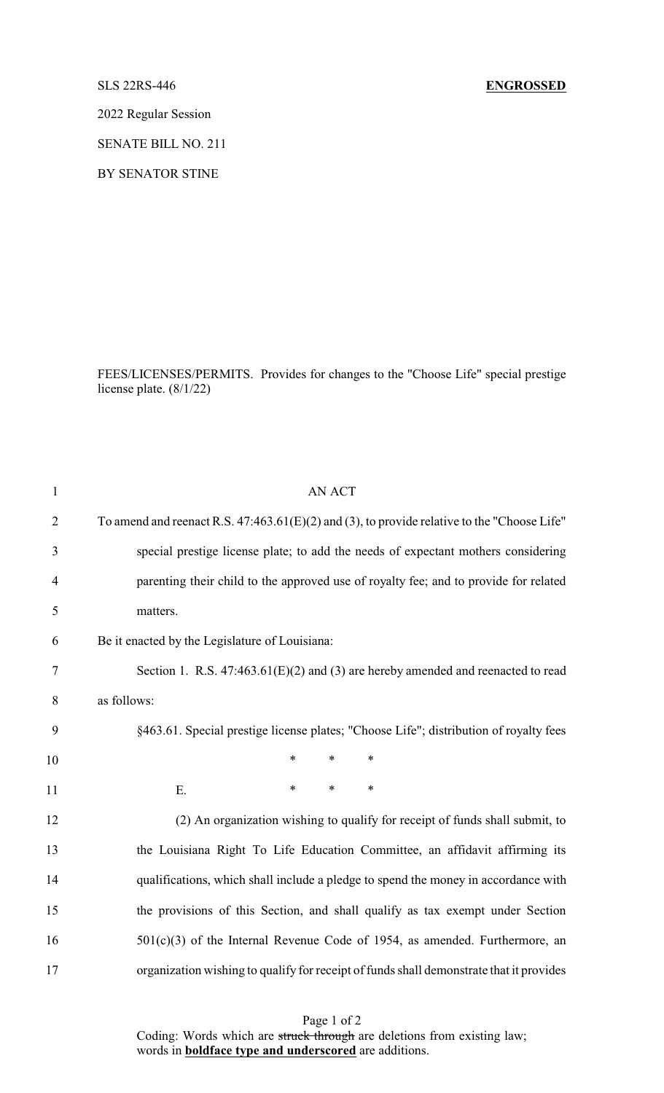## SLS 22RS-446 **ENGROSSED**

2022 Regular Session

SENATE BILL NO. 211

BY SENATOR STINE

FEES/LICENSES/PERMITS. Provides for changes to the "Choose Life" special prestige license plate. (8/1/22)

| $\mathbf{1}$   | <b>AN ACT</b>                                                                                 |
|----------------|-----------------------------------------------------------------------------------------------|
| $\overline{2}$ | To amend and reenact R.S. $47:463.61(E)(2)$ and (3), to provide relative to the "Choose Life" |
| 3              | special prestige license plate; to add the needs of expectant mothers considering             |
| $\overline{4}$ | parenting their child to the approved use of royalty fee; and to provide for related          |
| 5              | matters.                                                                                      |
| 6              | Be it enacted by the Legislature of Louisiana:                                                |
| $\tau$         | Section 1. R.S. $47:463.61(E)(2)$ and (3) are hereby amended and reenacted to read            |
| 8              | as follows:                                                                                   |
| 9              | §463.61. Special prestige license plates; "Choose Life"; distribution of royalty fees         |
| 10             | $\ast$<br>*<br>*                                                                              |
| 11             | $\ast$<br>$\ast$<br>$\ast$<br>E.                                                              |
| 12             | (2) An organization wishing to qualify for receipt of funds shall submit, to                  |
| 13             | the Louisiana Right To Life Education Committee, an affidavit affirming its                   |
| 14             | qualifications, which shall include a pledge to spend the money in accordance with            |
| 15             | the provisions of this Section, and shall qualify as tax exempt under Section                 |
| 16             | $501(c)(3)$ of the Internal Revenue Code of 1954, as amended. Furthermore, an                 |
| 17             | organization wishing to qualify for receipt of funds shall demonstrate that it provides       |

Page 1 of 2 Coding: Words which are struck through are deletions from existing law; words in **boldface type and underscored** are additions.